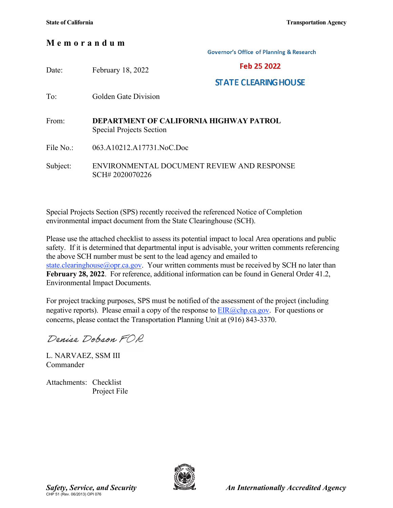## M e m o r a n d u m

**Governor's Office of Planning & Research** 

| Date:     | February 18, 2022                                                          | Feb 25 2022                 |  |
|-----------|----------------------------------------------------------------------------|-----------------------------|--|
|           |                                                                            | <b>STATE CLEARING HOUSE</b> |  |
| To:       | Golden Gate Division                                                       |                             |  |
|           |                                                                            |                             |  |
| From:     | DEPARTMENT OF CALIFORNIA HIGHWAY PATROL<br><b>Special Projects Section</b> |                             |  |
| File No.: | 063.A10212.A17731.NoC.Doc                                                  |                             |  |
| Subject:  | ENVIRONMENTAL DOCUMENT REVIEW AND RESPONSE<br>SCH#2020070226               |                             |  |

Special Projects Section (SPS) recently received the referenced Notice of Completion environmental impact document from the State Clearinghouse (SCH).

Please use the attached checklist to assess its potential impact to local Area operations and public safety. If it is determined that departmental input is advisable, your written comments referencing the above SCH number must be sent to the lead agency and emailed to state.clearinghouse@opr.ca.gov. Your written comments must be received by SCH no later than February 28, 2022. For reference, additional information can be found in General Order 41.2, Environmental Impact Documents.

For project tracking purposes, SPS must be notified of the assessment of the project (including negative reports). Please email a copy of the response to  $EIR(\omega chp.ca.gov)$ . For questions or concerns, please contact the Transportation Planning Unit at (916) 843-3370.

Denise Dobson FOR

L. NARVAEZ, SSM III Commander

Attachments: Checklist Project File

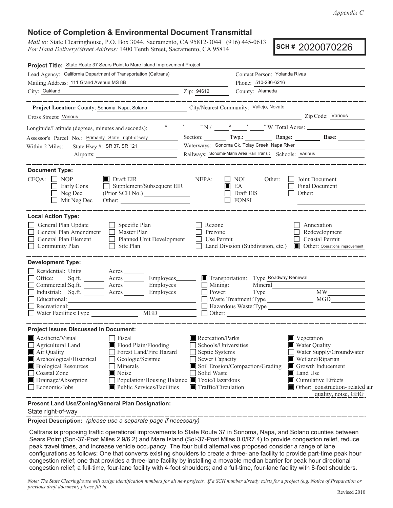## **Notice of Completion & Environmental Document Transmittal**

Mail to: State Clearinghouse, P.O. Box 3044, Sacramento, CA 95812-3044 (916) 445-0613 For Hand Delivery/Street Address: 1400 Tenth Street, Sacramento, CA 95814

SCH# 2020070226

| Project Title: State Route 37 Sears Point to Mare Island Improvement Project                                                                                                                                                                                                                                |                                                                                                                                                                                          |                                                                                                            |                                                                                                                                                                                                             |  |
|-------------------------------------------------------------------------------------------------------------------------------------------------------------------------------------------------------------------------------------------------------------------------------------------------------------|------------------------------------------------------------------------------------------------------------------------------------------------------------------------------------------|------------------------------------------------------------------------------------------------------------|-------------------------------------------------------------------------------------------------------------------------------------------------------------------------------------------------------------|--|
| Lead Agency: California Department of Transportation (Caltrans)                                                                                                                                                                                                                                             |                                                                                                                                                                                          | Contact Person: Yolanda Rivas                                                                              |                                                                                                                                                                                                             |  |
| Mailing Address: 111 Grand Avenue MS 8B                                                                                                                                                                                                                                                                     |                                                                                                                                                                                          | Phone: 510-286-6216                                                                                        |                                                                                                                                                                                                             |  |
| City: Oakland<br><u>2. 2ip: 94612</u>                                                                                                                                                                                                                                                                       |                                                                                                                                                                                          | County: Alameda                                                                                            |                                                                                                                                                                                                             |  |
| _______________                                                                                                                                                                                                                                                                                             |                                                                                                                                                                                          |                                                                                                            |                                                                                                                                                                                                             |  |
| Project Location: County: Sonoma, Napa, Solano                                                                                                                                                                                                                                                              | City/Nearest Community: Vallejo, Novato                                                                                                                                                  |                                                                                                            | Zip Code: Various                                                                                                                                                                                           |  |
| Cross Streets: Various                                                                                                                                                                                                                                                                                      |                                                                                                                                                                                          |                                                                                                            |                                                                                                                                                                                                             |  |
|                                                                                                                                                                                                                                                                                                             |                                                                                                                                                                                          |                                                                                                            |                                                                                                                                                                                                             |  |
| Assessor's Parcel No.: Primarily State right-of-way                                                                                                                                                                                                                                                         |                                                                                                                                                                                          |                                                                                                            | Section: Twp.: Range: Base:                                                                                                                                                                                 |  |
| State Hwy #: SR 37, SR 121<br>Within 2 Miles:<br><u> 1989 - Johann Stone, p</u>                                                                                                                                                                                                                             |                                                                                                                                                                                          | Waterways: Sonoma Ck, Tolay Creek, Napa River<br>Railways: Sonoma-Marin Area Rail Transit Schools: various |                                                                                                                                                                                                             |  |
|                                                                                                                                                                                                                                                                                                             |                                                                                                                                                                                          |                                                                                                            |                                                                                                                                                                                                             |  |
| <b>Document Type:</b>                                                                                                                                                                                                                                                                                       |                                                                                                                                                                                          |                                                                                                            |                                                                                                                                                                                                             |  |
| $CEQA: \Box NOP$<br>$\blacksquare$ Draft EIR<br>$\Box$ Supplement/Subsequent EIR<br>Early Cons<br>Neg Dec<br>Mit Neg Dec                                                                                                                                                                                    | NEPA:<br>$\mathsf{L}$<br>IП                                                                                                                                                              | NOI<br>Other:<br>EA<br>Draft EIS<br><b>FONSI</b>                                                           | Joint Document<br>Final Document<br>Other:                                                                                                                                                                  |  |
| <b>Local Action Type:</b><br>General Plan Update<br>$\Box$ Specific Plan<br>General Plan Amendment<br>$\Box$<br>Master Plan<br>General Plan Element<br>$\Box$ Planned Unit Development<br>$\Box$ Site Plan<br>Community Plan                                                                                | Rezone<br>Prezone<br>Use Permit                                                                                                                                                          |                                                                                                            | Annexation<br>Redevelopment<br>Coastal Permit<br>Land Division (Subdivision, etc.) <b>I</b> Other: Operations improvement                                                                                   |  |
| <b>Development Type:</b>                                                                                                                                                                                                                                                                                    |                                                                                                                                                                                          |                                                                                                            |                                                                                                                                                                                                             |  |
| Residential: Units _________ Acres _______<br>Sq.ft. _________ Acres __________ Employees________<br>Office:<br>Commercial:Sq.ft. _________ Acres _________ Employees________<br>Industrial: Sq.ft. <u>Acres</u> Acres Employees<br>Educational:<br>Recreational:                                           | $\blacksquare$ Transportation:<br>$\Box$ Mining:<br>Power:                                                                                                                               | Type Roadway Renewal<br>Mineral<br>Waste Treatment: Type                                                   | $\overline{\text{MW}}$<br>Hazardous Waste:Type                                                                                                                                                              |  |
| <b>Project Issues Discussed in Document:</b>                                                                                                                                                                                                                                                                |                                                                                                                                                                                          |                                                                                                            |                                                                                                                                                                                                             |  |
| Aesthetic/Visual<br>Fiscal<br>Flood Plain/Flooding<br>Agricultural Land<br>Forest Land/Fire Hazard<br>Air Quality<br>Archeological/Historical<br>Geologic/Seismic<br><b>Biological Resources</b><br>Minerals<br>Coastal Zone<br>Noise<br>Drainage/Absorption<br>Public Services/Facilities<br>Economic/Jobs | Recreation/Parks<br>Schools/Universities<br>Septic Systems<br><b>Sewer Capacity</b><br>Solid Waste<br>Population/Housing Balance ■ Toxic/Hazardous<br>$\blacksquare$ Traffic/Circulation | Soil Erosion/Compaction/Grading                                                                            | $\blacksquare$ Vegetation<br>Water Quality<br>Water Supply/Groundwater<br>Wetland/Riparian<br>Growth Inducement<br>Land Use<br>Cumulative Effects<br>Other: construction-related air<br>quality, noise, GHG |  |
| Present Land Use/Zoning/General Plan Designation:                                                                                                                                                                                                                                                           |                                                                                                                                                                                          |                                                                                                            |                                                                                                                                                                                                             |  |

State right-of-way

Project Description: (please use a separate page if necessary)

Caltrans is proposing traffic operational improvements to State Route 37 in Sonoma, Napa, and Solano counties between Sears Point (Son-37-Post Miles 2.9/6.2) and Mare Island (Sol-37-Post Miles 0.0/R7.4) to provide congestion relief, reduce peak travel times, and increase vehicle occupancy. The four build alternatives proposed consider a range of lane configurations as follows: One that converts existing shoulders to create a three-lane facility to provide part-time peak hour congestion relief; one that provides a three-lane facility by installing a movable median barrier for peak hour directional congestion relief; a full-time, four-lane facility with 4-foot shoulders; and a full-time, four-lane facility with 8-foot shoulders.

Note: The State Clearinghouse will assign identification numbers for all new projects. If a SCH number already exists for a project (e.g. Notice of Preparation or previous draft document) please fill in.